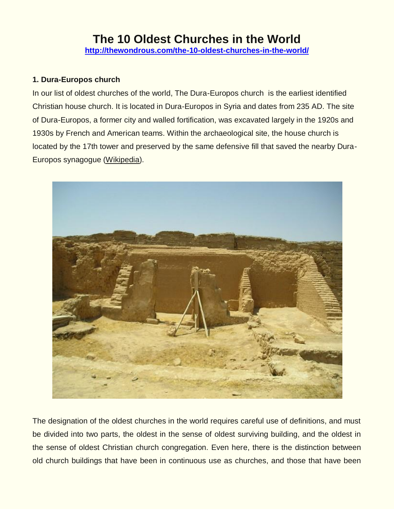# **The 10 Oldest Churches in the World <http://thewondrous.com/the-10-oldest-churches-in-the-world/>**

#### **1. Dura-Europos church**

In our list of oldest churches of the world, The Dura-Europos church is the earliest identified Christian house church. It is located in Dura-Europos in Syria and dates from 235 AD. The site of Dura-Europos, a former city and walled fortification, was excavated largely in the 1920s and 1930s by French and American teams. Within the archaeological site, the house church is located by the 17th tower and preserved by the same defensive fill that saved the nearby Dura-Europos synagogue [\(Wikipedia\)](http://en.wikipedia.org/wiki/Dura-Europos_house_church).



The designation of the oldest churches in the world requires careful use of definitions, and must be divided into two parts, the oldest in the sense of oldest surviving building, and the oldest in the sense of oldest Christian church congregation. Even here, there is the distinction between old church buildings that have been in continuous use as churches, and those that have been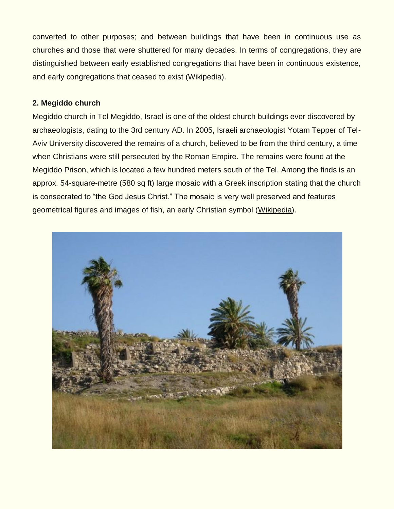converted to other purposes; and between buildings that have been in continuous use as churches and those that were shuttered for many decades. In terms of congregations, they are distinguished between early established congregations that have been in continuous existence, and early congregations that ceased to exist (Wikipedia).

#### **2. Megiddo church**

Megiddo church in Tel Megiddo, Israel is one of the oldest church buildings ever discovered by archaeologists, dating to the 3rd century AD. In 2005, Israeli archaeologist Yotam Tepper of Tel-Aviv University discovered the remains of a church, believed to be from the third century, a time when Christians were still persecuted by the Roman Empire. The remains were found at the Megiddo Prison, which is located a few hundred meters south of the Tel. Among the finds is an approx. 54-square-metre (580 sq ft) large mosaic with a Greek inscription stating that the church is consecrated to "the God Jesus Christ." The mosaic is very well preserved and features geometrical figures and images of fish, an early Christian symbol [\(Wikipedia\)](http://en.wikipedia.org/wiki/Megiddo_church).

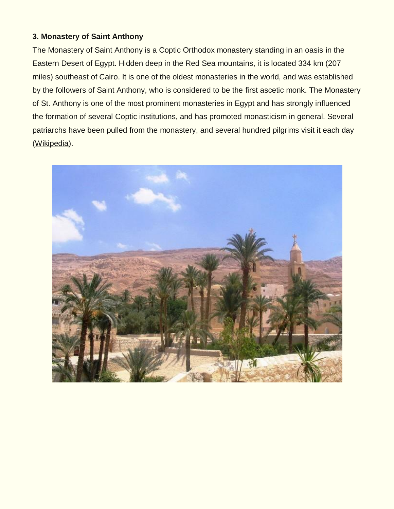#### **3. Monastery of Saint Anthony**

The Monastery of Saint Anthony is a Coptic Orthodox monastery standing in an oasis in the Eastern Desert of Egypt. Hidden deep in the Red Sea mountains, it is located 334 km (207 miles) southeast of Cairo. It is one of the oldest monasteries in the world, and was established by the followers of Saint Anthony, who is considered to be the first ascetic monk. The Monastery of St. Anthony is one of the most prominent monasteries in Egypt and has strongly influenced the formation of several Coptic institutions, and has promoted monasticism in general. Several patriarchs have been pulled from the monastery, and several hundred pilgrims visit it each day [\(Wikipedia\)](http://en.wikipedia.org/wiki/Monastery_of_Saint_Anthony).

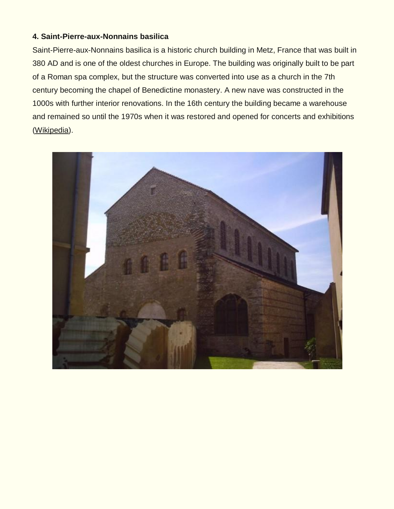#### **4. Saint-Pierre-aux-Nonnains basilica**

Saint-Pierre-aux-Nonnains basilica is a historic church building in Metz, France that was built in 380 AD and is one of the oldest churches in Europe. The building was originally built to be part of a Roman spa complex, but the structure was converted into use as a church in the 7th century becoming the chapel of Benedictine monastery. A new nave was constructed in the 1000s with further interior renovations. In the 16th century the building became a warehouse and remained so until the 1970s when it was restored and opened for concerts and exhibitions [\(Wikipedia\)](http://en.wikipedia.org/wiki/Saint-Pierre-aux-Nonnains_basilica).

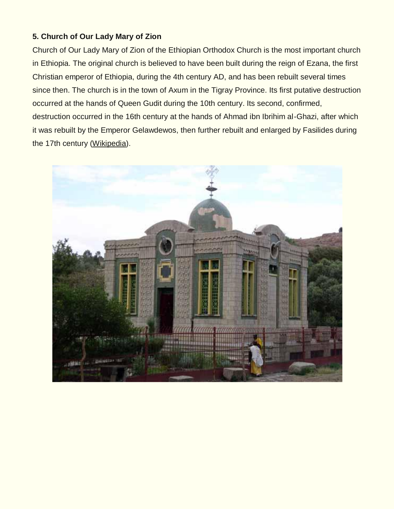### **5. Church of Our Lady Mary of Zion**

Church of Our Lady Mary of Zion of the Ethiopian Orthodox Church is the most important church in Ethiopia. The original church is believed to have been built during the reign of Ezana, the first Christian emperor of Ethiopia, during the 4th century AD, and has been rebuilt several times since then. The church is in the town of Axum in the Tigray Province. Its first putative destruction occurred at the hands of Queen Gudit during the 10th century. Its second, confirmed, destruction occurred in the 16th century at the hands of Ahmad ibn Ibrihim al-Ghazi, after which it was rebuilt by the Emperor Gelawdewos, then further rebuilt and enlarged by Fasilides during the 17th century [\(Wikipedia\)](http://en.wikipedia.org/wiki/Church_of_Our_Lady_Mary_of_Zion).

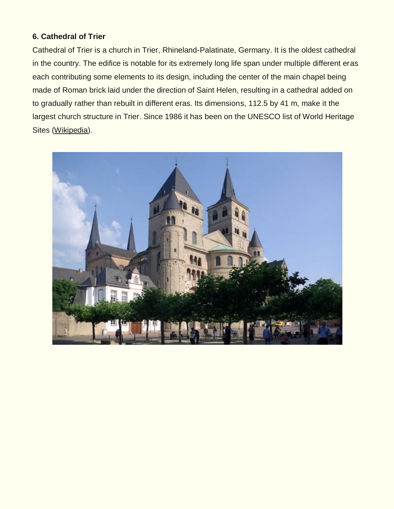#### **6. Cathedral of Trier**

Cathedral of Trier is a church in Trier, Rhineland-Palatinate, Germany. It is the oldest cathedral in the country. The edifice is notable for its extremely long life span under multiple different eras each contributing some elements to its design, including the center of the main chapel being made of Roman brick laid under the direction of Saint Helen, resulting in a cathedral added on to gradually rather than rebuilt in different eras. Its dimensions, 112.5 by 41 m, make it the largest church structure in Trier. Since 1986 it has been on the UNESCO list of World Heritage Sites [\(Wikipedia\)](http://en.wikipedia.org/wiki/Cathedral_of_Trier).

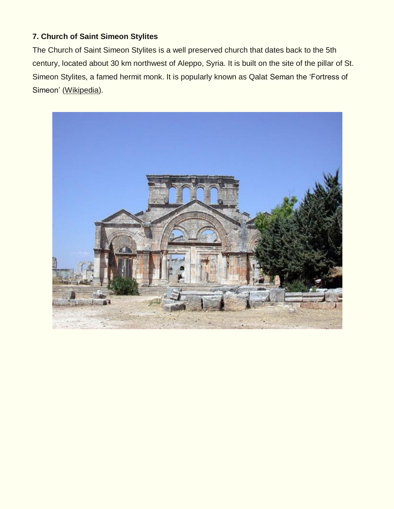## **7. Church of Saint Simeon Stylites**

The Church of Saint Simeon Stylites is a well preserved church that dates back to the 5th century, located about 30 km northwest of Aleppo, Syria. It is built on the site of the pillar of St. Simeon Stylites, a famed hermit monk. It is popularly known as Qalat Seman the 'Fortress of Simeon' [\(Wikipedia\)](http://en.wikipedia.org/wiki/Church_of_Saint_Simeon_Stylites).

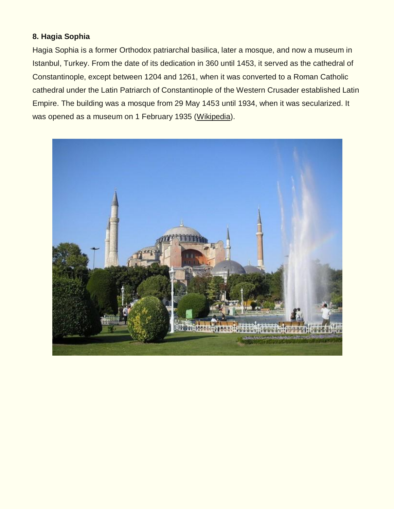#### **8. Hagia Sophia**

Hagia Sophia is a former Orthodox patriarchal basilica, later a mosque, and now a museum in Istanbul, Turkey. From the date of its dedication in 360 until 1453, it served as the cathedral of Constantinople, except between 1204 and 1261, when it was converted to a Roman Catholic cathedral under the Latin Patriarch of Constantinople of the Western Crusader established Latin Empire. The building was a mosque from 29 May 1453 until 1934, when it was secularized. It was opened as a museum on 1 February 1935 [\(Wikipedia\)](http://en.wikipedia.org/wiki/Hagia_Sophia).

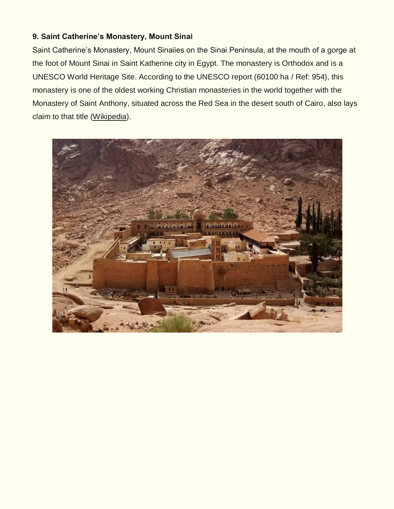### **9. Saint Catherine's Monastery, Mount Sinai**

Saint Catherine's Monastery, Mount Sinaiies on the Sinai Peninsula, at the mouth of a gorge at the foot of Mount Sinai in Saint Katherine city in Egypt. The monastery is Orthodox and is a UNESCO World Heritage Site. According to the UNESCO report (60100 ha / Ref: 954), this monastery is one of the oldest working Christian monasteries in the world together with the Monastery of Saint Anthony, situated across the Red Sea in the desert south of Cairo, also lays claim to that title [\(Wikipedia\)](http://en.wikipedia.org/wiki/Saint_Catherine%27s_Monastery,_Mount_Sinai).